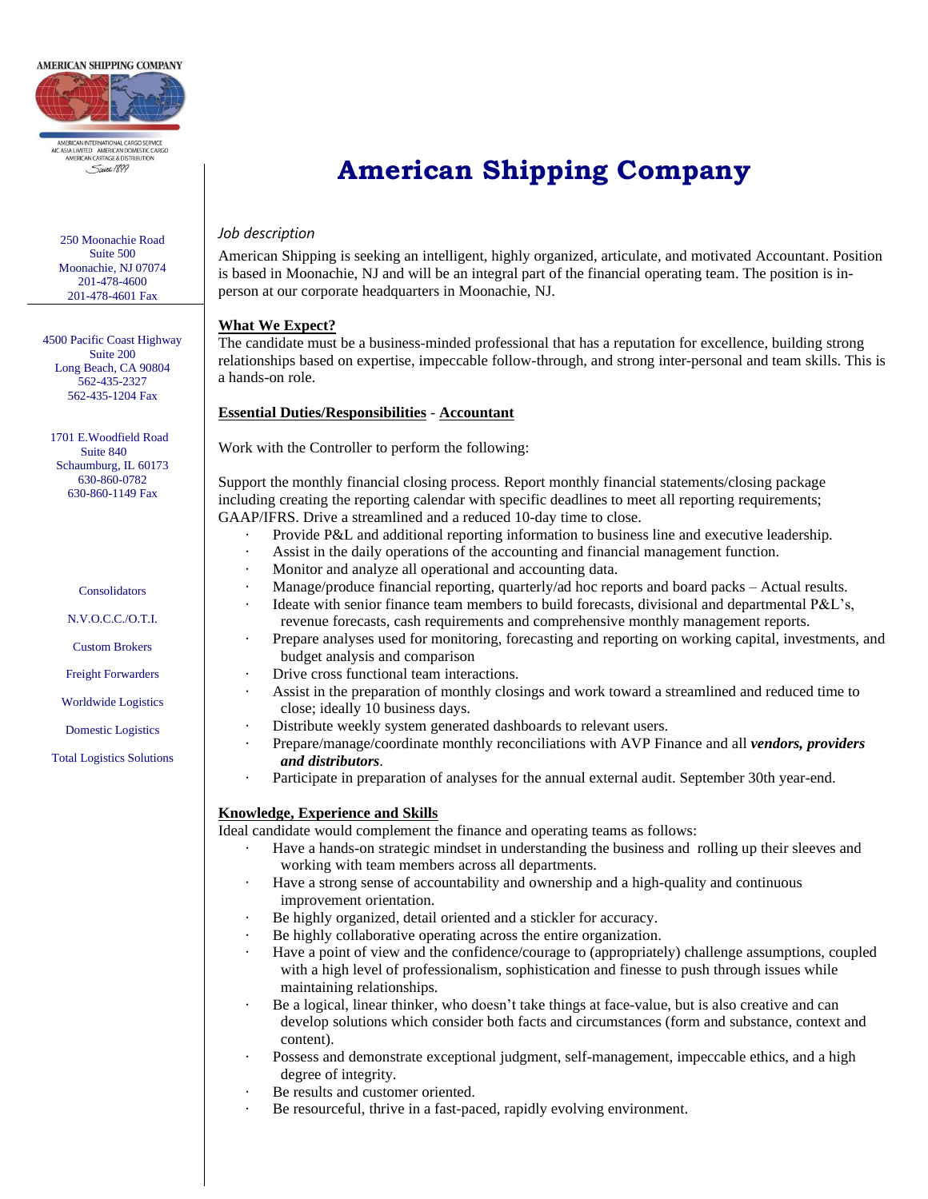

**AERICAN INTERNATIONAL CARGO SERVICE** 

AIC ASIA LIMITED AMERICAN DOMESTIC CARGO<br>AMERICAN CARTAGE & DISTRIBUTION . Since 1899

250 Moonachie Road Suite 500 Moonachie, NJ 07074 201-478-4600 201-478-4601 Fax

4500 Pacific Coast Highway Suite 200 Long Beach, CA 90804 562-435-2327 562-435-1204 Fax

 1701 E.Woodfield Road Suite 840 Schaumburg, IL 60173 630-860-0782 630-860-1149 Fax

Consolidators

N.V.O.C.C./O.T.I.

Custom Brokers

Freight Forwarders

Worldwide Logistics

Domestic Logistics

Total Logistics Solutions

# **American Shipping Company**

#### *Job description*

American Shipping is seeking an intelligent, highly organized, articulate, and motivated Accountant. Position is based in Moonachie, NJ and will be an integral part of the financial operating team. The position is inperson at our corporate headquarters in Moonachie, NJ.

### **What We Expect?**

The candidate must be a business-minded professional that has a reputation for excellence, building strong relationships based on expertise, impeccable follow-through, and strong inter-personal and team skills. This is a hands-on role.

### **Essential Duties/Responsibilities** - **Accountant**

Work with the Controller to perform the following:

Support the monthly financial closing process. Report monthly financial statements/closing package including creating the reporting calendar with specific deadlines to meet all reporting requirements; GAAP/IFRS. Drive a streamlined and a reduced 10-day time to close.

- · Provide P&L and additional reporting information to business line and executive leadership.
- Assist in the daily operations of the accounting and financial management function.
- Monitor and analyze all operational and accounting data.
- · Manage/produce financial reporting, quarterly/ad hoc reports and board packs Actual results.
	- Ideate with senior finance team members to build forecasts, divisional and departmental P&L's, revenue forecasts, cash requirements and comprehensive monthly management reports.
- Prepare analyses used for monitoring, forecasting and reporting on working capital, investments, and budget analysis and comparison
- Drive cross functional team interactions.
- Assist in the preparation of monthly closings and work toward a streamlined and reduced time to close; ideally 10 business days.
- Distribute weekly system generated dashboards to relevant users.
- · Prepare/manage/coordinate monthly reconciliations with AVP Finance and all *vendors, providers and distributors*.
- Participate in preparation of analyses for the annual external audit. September 30th year-end.

#### **Knowledge, Experience and Skills**

Ideal candidate would complement the finance and operating teams as follows:

- Have a hands-on strategic mindset in understanding the business and rolling up their sleeves and working with team members across all departments.
- Have a strong sense of accountability and ownership and a high-quality and continuous improvement orientation.
- Be highly organized, detail oriented and a stickler for accuracy.
- Be highly collaborative operating across the entire organization.
- Have a point of view and the confidence/courage to (appropriately) challenge assumptions, coupled with a high level of professionalism, sophistication and finesse to push through issues while maintaining relationships.
- Be a logical, linear thinker, who doesn't take things at face-value, but is also creative and can develop solutions which consider both facts and circumstances (form and substance, context and content).
- Possess and demonstrate exceptional judgment, self-management, impeccable ethics, and a high degree of integrity.
- Be results and customer oriented.
- Be resourceful, thrive in a fast-paced, rapidly evolving environment.